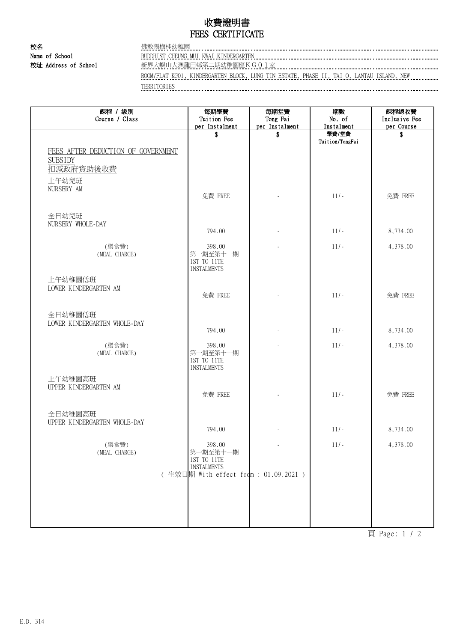## 收費證明書 FEES CERTIFICATE

校名 またま こころ (焼教張梅桂幼稚園)

Name of School BUDDHIST CHEUNG MUI KWAI KINDERGARTEN

校址 Address of School 新界大嶼山大澳龍田邨第二期幼稚園座KG01室

ROOM/FLAT KG01, KINDERGARTEN BLOCK, LUNG TIN ESTATE, PHASE II, TAI O, LANTAU ISLAND, NEW TERRITORIES

| 課程 / 級別<br>Course / Class               | 每期學費<br>Tuition Fee<br>per Instalment                     | 每期堂費<br>Tong Fai<br>per Instalment | 期數<br>No. of<br>Instalment | 課程總收費<br>Inclusive Fee<br>per Course |
|-----------------------------------------|-----------------------------------------------------------|------------------------------------|----------------------------|--------------------------------------|
| FEES AFTER DEDUCTION OF GOVERNMENT      | \$                                                        | S                                  | 學費/堂費<br>Tuition/TongFai   | S                                    |
| <b>SUBSIDY</b><br>扣减政府資助後收費             |                                                           |                                    |                            |                                      |
| 上午幼兒班<br>NURSERY AM                     | 免費 FREE                                                   |                                    | $11/-$                     | 免費 FREE                              |
| 全日幼兒班<br>NURSERY WHOLE-DAY              |                                                           |                                    |                            |                                      |
|                                         | 794.00                                                    |                                    | $11/-$                     | 8,734.00                             |
| (膳食費)<br>(MEAL CHARGE)                  | 398.00<br>第一期至第十一期<br>1ST TO 11TH<br><b>INSTALMENTS</b>   |                                    | $11/-$                     | 4,378.00                             |
| 上午幼稚園低班<br>LOWER KINDERGARTEN AM        | 免費 FREE                                                   |                                    | $11/-$                     | 免費 FREE                              |
| 全日幼稚園低班<br>LOWER KINDERGARTEN WHOLE-DAY | 794.00                                                    |                                    | $11/-$                     | 8,734.00                             |
|                                         |                                                           |                                    |                            |                                      |
| (膳食費)<br>(MEAL CHARGE)                  | 398.00<br>第一期至第十一期<br>1ST TO 11TH<br><b>INSTALMENTS</b>   |                                    | $11/-$                     | 4,378.00                             |
| 上午幼稚園高班<br>UPPER KINDERGARTEN AM        | 免費 FREE                                                   |                                    | $11/-$                     | 免費 FREE                              |
| 全日幼稚園高班<br>UPPER KINDERGARTEN WHOLE-DAY | 794.00                                                    |                                    | $11/-$                     | 8,734.00                             |
| (膳食費)<br>(MEAL CHARGE)                  | 398.00<br>第一期至第十一期<br>1ST TO 11TH                         |                                    | $11/-$                     | 4,378.00                             |
|                                         | <b>INSTALMENTS</b><br>(生效日期 With effect from: 01.09.2021) |                                    |                            |                                      |
|                                         |                                                           |                                    |                            |                                      |

頁 Page: 1 / 2